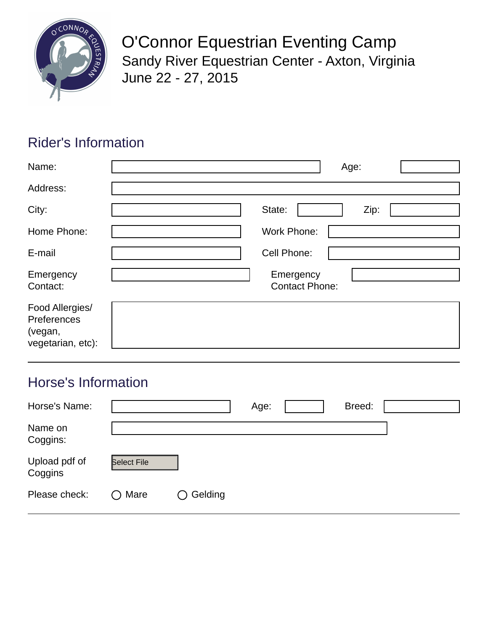

O'Connor Equestrian Eventing Camp Sandy River Equestrian Center - Axton, Virginia June 22 - 27, 2015

# Rider's Information

| Name:                                                          | Age:                               |
|----------------------------------------------------------------|------------------------------------|
| Address:                                                       |                                    |
| City:                                                          | State:<br>Zip:                     |
| Home Phone:                                                    | <b>Work Phone:</b>                 |
| E-mail                                                         | Cell Phone:                        |
| Emergency<br>Contact:                                          | Emergency<br><b>Contact Phone:</b> |
| Food Allergies/<br>Preferences<br>(vegan,<br>vegetarian, etc): |                                    |

## Horse's Information

| Horse's Name:            |                    |         | Age: | Breed: |  |
|--------------------------|--------------------|---------|------|--------|--|
| Name on<br>Coggins:      |                    |         |      |        |  |
| Upload pdf of<br>Coggins | <b>Select File</b> |         |      |        |  |
| Please check:            | $\bigcirc$ Mare    | Gelding |      |        |  |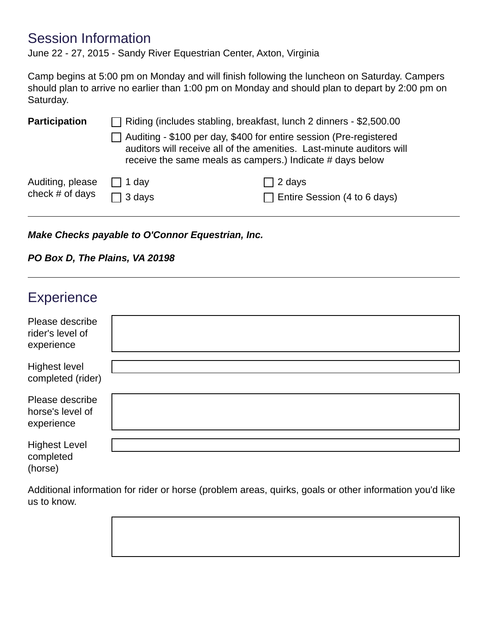### Session Information

June 22 - 27, 2015 - Sandy River Equestrian Center, Axton, Virginia

Camp begins at 5:00 pm on Monday and will finish following the luncheon on Saturday. Campers should plan to arrive no earlier than 1:00 pm on Monday and should plan to depart by 2:00 pm on Saturday.

| <b>Participation</b> | $\Box$ Riding (includes stabling, breakfast, lunch 2 dinners - \$2,500.00<br>$\Box$ Auditing - \$100 per day, \$400 for entire session (Pre-registered<br>auditors will receive all of the amenities. Last-minute auditors will<br>receive the same meals as campers.) Indicate # days below |                                     |
|----------------------|----------------------------------------------------------------------------------------------------------------------------------------------------------------------------------------------------------------------------------------------------------------------------------------------|-------------------------------------|
| Auditing, please     | $\Box$ 1 day                                                                                                                                                                                                                                                                                 | $\Box$ 2 days                       |
| check # of days      | $\Box$ 3 days                                                                                                                                                                                                                                                                                | $\Box$ Entire Session (4 to 6 days) |

*Make Checks payable to O'Connor Equestrian, Inc.* 

#### *PO Box D, The Plains, VA 20198*

| Experience                                        |  |
|---------------------------------------------------|--|
| Please describe<br>rider's level of<br>experience |  |
| Highest level<br>completed (rider)                |  |
| Please describe<br>horse's level of<br>experience |  |
| <b>Highest Level</b><br>completed<br>(horse)      |  |

Additional information for rider or horse (problem areas, quirks, goals or other information you'd like us to know.